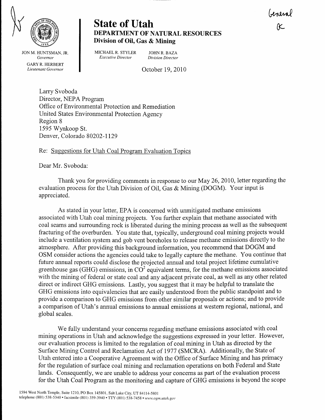

JON M. HUNTSMAN, JR. Governor GARY R. HERBERT Lieutenant Governor

## **State of Utah** DEPARTMENT OF NATURAL RESOURCES Division of Oil, Gas & Mining

MICHAEL R. STYLER JOHN R. BAZA<br>Executive Director Division Director

Division Director

October 19, 2010

Larry Svoboda Director, NEPA Program Office of Environmental Protection and Remediation United States Environmental Protection Agency Region 8 1595 Wynkoop St. Denver, Colorado 80202-1129

## Re: Suggestions for Utah Coal Program Evaluation Topics

Dear Mr. Svoboda:

Thank you for providing comments in response to our May 26, 2010, letter regarding the evaluation process for the Utah Division of Oil, Gas  $\&$  Mining (DOGM). Your input is appreciated.

As stated in your letter, EPA is concerned with unmitigated methane emissions associated with Utah coal mining projects. You further explain that methane associated with coal seams and surrounding rock is liberated during the mining process as well as the subsequent fracturing of the overburden. You state that, typically, underground coal mining projects would include a ventilation system and gob vent boreholes to release methane emissions directly to the atrnosphere. After providing this background information, you recommend that DOGM and OSM consider actions the agencies could take to legally capture the methane. You continue that future annual reports could disclose the projected annual and total project lifetime cumulative greenhouse gas (GHG) emissions, in  $CO<sup>2</sup>$  equivalent terms, for the methane emissions associated with the mining of federal or state coal and any adjacent private coal, as well as any other related direct or indirect GHG emissions. Lastly, you suggest that it may be helpful to translate the GHG emissions into equivalencies that are easily understood from the public standpoint and to provide a comparison to GHG emissions from other similar proposals or actions; and to provide a comparison of Utah's annual emissions to annual emissions at western regional, national, and global scales.

We fully understand your concems regarding methane emissions associated with coal mining operations in Utah and acknowledge the suggestions expressed in your letter. However, our evaluation process is limited to the regulation of coal mining in Utah as directed by the Surface Mining Control and Reclamation Act of 1977 (SMCRA). Additionaily, the State of Utah entered into a Cooperative Agreement with the Office of Surface Mining and has primacy for the regulation of surface coal mining and reclamation operations on both Federal and State lands. Consequently, we are unable to address your concerns as part of the evaluation process for the Utah Coal Program as the monitoring and capture of GHG emissions is beyond the scope